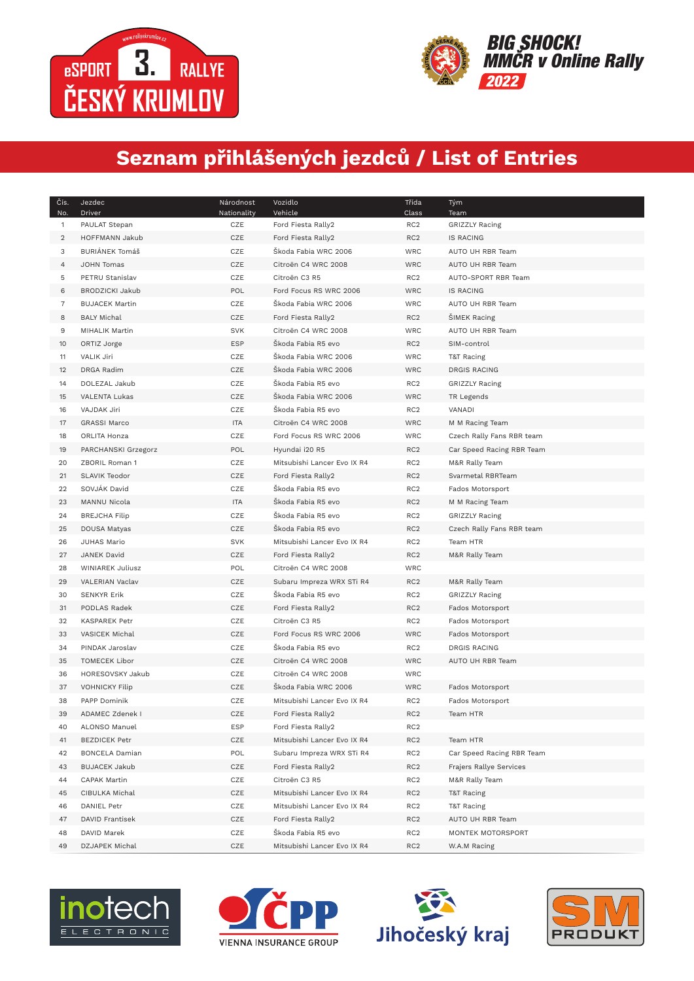



## **Seznam přihlášených jezdců / List of Entries**

| Čís.<br>No.    | Jezdec<br>Driver       | Národnost<br>Nationality | Vozidlo<br>Vehicle          | Třída<br>Class  | Tým<br>Team               |
|----------------|------------------------|--------------------------|-----------------------------|-----------------|---------------------------|
| 1              | PAULAT Stepan          | CZE                      | Ford Fiesta Rally2          | RC <sub>2</sub> | <b>GRIZZLY Racing</b>     |
| $\overline{2}$ | HOFFMANN Jakub         | CZE                      | Ford Fiesta Rally2          | RC <sub>2</sub> | <b>IS RACING</b>          |
| 3              | BURIÁNEK Tomáš         | CZE                      | Škoda Fabia WRC 2006        | <b>WRC</b>      | AUTO UH RBR Team          |
| 4              | JOHN Tomas             | CZE                      | Citroën C4 WRC 2008         | <b>WRC</b>      | AUTO UH RBR Team          |
| 5              | PETRU Stanislav        | CZE                      | Citroën C3 R5               | RC <sub>2</sub> | AUTO-SPORT RBR Team       |
| 6              | <b>BRODZICKI Jakub</b> | POL                      | Ford Focus RS WRC 2006      | <b>WRC</b>      | <b>IS RACING</b>          |
| 7              | <b>BUJACEK Martin</b>  | CZE                      | Škoda Fabia WRC 2006        | WRC             | AUTO UH RBR Team          |
| 8              | <b>BALY Michal</b>     | CZE                      | Ford Fiesta Rally2          | RC <sub>2</sub> | ŠIMEK Racing              |
| 9              | MIHALIK Martin         | <b>SVK</b>               | Citroën C4 WRC 2008         | WRC             | AUTO UH RBR Team          |
| 10             | ORTIZ Jorge            | <b>ESP</b>               | Škoda Fabia R5 evo          | RC <sub>2</sub> | SIM-control               |
| 11             | VALIK Jiri             | CZE                      | Škoda Fabia WRC 2006        | <b>WRC</b>      | T&T Racing                |
| 12             | DRGA Radim             | CZE                      | Škoda Fabia WRC 2006        | <b>WRC</b>      | DRGIS RACING              |
| 14             | DOLEZAL Jakub          | CZE                      | Škoda Fabia R5 evo          | RC <sub>2</sub> | <b>GRIZZLY Racing</b>     |
| 15             | VALENTA Lukas          | CZE                      | Škoda Fabia WRC 2006        | <b>WRC</b>      | TR Legends                |
| 16             | VAJDAK Jiri            | CZE                      | Škoda Fabia R5 evo          | RC <sub>2</sub> | VANADI                    |
| 17             | <b>GRASSI Marco</b>    | <b>ITA</b>               | Citroën C4 WRC 2008         | <b>WRC</b>      | M M Racing Team           |
| 18             | ORLITA Honza           | CZE                      | Ford Focus RS WRC 2006      | <b>WRC</b>      | Czech Rally Fans RBR team |
| 19             | PARCHANSKI Grzegorz    | POL                      | Hyundai i20 R5              | RC <sub>2</sub> | Car Speed Racing RBR Team |
| 20             | ZBORIL Roman 1         | CZE                      | Mitsubishi Lancer Evo IX R4 | RC <sub>2</sub> | M&R Rally Team            |
| 21             | <b>SLAVIK Teodor</b>   | CZE                      | Ford Fiesta Rally2          | RC <sub>2</sub> | Svarmetal RBRTeam         |
| 22             | SOVJÁK David           | CZE                      | Škoda Fabia R5 evo          | RC <sub>2</sub> | Fados Motorsport          |
| 23             | MANNU Nicola           | <b>ITA</b>               | Škoda Fabia R5 evo          | RC <sub>2</sub> | M M Racing Team           |
| 24             | <b>BREJCHA Filip</b>   | CZE                      | Škoda Fabia R5 evo          | RC <sub>2</sub> | GRIZZLY Racing            |
| 25             | DOUSA Matyas           | CZE                      | Škoda Fabia R5 evo          | RC <sub>2</sub> | Czech Rally Fans RBR team |
| 26             | JUHAS Mario            | <b>SVK</b>               | Mitsubishi Lancer Evo IX R4 | RC <sub>2</sub> | Team HTR                  |
| 27             | JANEK David            | CZE                      | Ford Fiesta Rally2          | RC <sub>2</sub> | M&R Rally Team            |
| 28             | WINIAREK Juliusz       | POL                      | Citroën C4 WRC 2008         | <b>WRC</b>      |                           |
| 29             | VALERIAN Vaclav        | CZE                      | Subaru Impreza WRX STi R4   | RC <sub>2</sub> | M&R Rally Team            |
| 30             | <b>SENKYR Erik</b>     | CZE                      | Škoda Fabia R5 evo          | RC <sub>2</sub> | <b>GRIZZLY Racing</b>     |
| 31             | PODLAS Radek           | CZE                      | Ford Fiesta Rally2          | RC <sub>2</sub> | Fados Motorsport          |
| 32             | KASPAREK Petr          | CZE                      | Citroën C3 R5               | RC <sub>2</sub> | Fados Motorsport          |
| 33             | VASICEK Michal         | CZE                      | Ford Focus RS WRC 2006      | <b>WRC</b>      | Fados Motorsport          |
| 34             | PINDAK Jaroslav        | CZE                      | Škoda Fabia R5 evo          | RC <sub>2</sub> | <b>DRGIS RACING</b>       |
| 35             | <b>TOMECEK Libor</b>   | CZE                      | Citroën C4 WRC 2008         | <b>WRC</b>      | AUTO UH RBR Team          |
| 36             | HORESOVSKY Jakub       | CZE                      | Citroën C4 WRC 2008         | <b>WRC</b>      |                           |
| 37             | <b>VOHNICKY Filip</b>  | CZE                      | Škoda Fabia WRC 2006        | <b>WRC</b>      | Fados Motorsport          |
| 38             | PAPP Dominik           | CZE                      | Mitsubishi Lancer Evo IX R4 | RC <sub>2</sub> | Fados Motorsport          |
| 39             | ADAMEC Zdenek I        | CZE                      | Ford Fiesta Rally2          | RC <sub>2</sub> | Team HTR                  |
| 40             | ALONSO Manuel          | ESP                      | Ford Fiesta Rally2          | RC <sub>2</sub> |                           |
| 41             | <b>BEZDICEK Petr</b>   | CZE                      | Mitsubishi Lancer Evo IX R4 | RC <sub>2</sub> | Team HTR                  |
| 42             | <b>BONCELA Damian</b>  | POL                      | Subaru Impreza WRX STi R4   | RC <sub>2</sub> | Car Speed Racing RBR Team |
| 43             | <b>BUJACEK Jakub</b>   | CZE                      | Ford Fiesta Rally2          | RC <sub>2</sub> | Frajers Rallye Services   |
| 44             | CAPAK Martin           | CZE                      | Citroën C3 R5               | RC <sub>2</sub> | M&R Rally Team            |
| 45             | CIBULKA Michal         | CZE                      | Mitsubishi Lancer Evo IX R4 | RC <sub>2</sub> | T&T Racing                |
| 46             | DANIEL Petr            | CZE                      | Mitsubishi Lancer Evo IX R4 | RC <sub>2</sub> | T&T Racing                |
| 47             | DAVID Frantisek        | CZE                      | Ford Fiesta Rally2          | RC <sub>2</sub> | AUTO UH RBR Team          |
| 48             | DAVID Marek            | CZE                      | Škoda Fabia R5 evo          | RC <sub>2</sub> | MONTEK MOTORSPORT         |
| 49             | DZJAPEK Michal         | CZE                      | Mitsubishi Lancer Evo IX R4 | RC <sub>2</sub> | W.A.M Racing              |







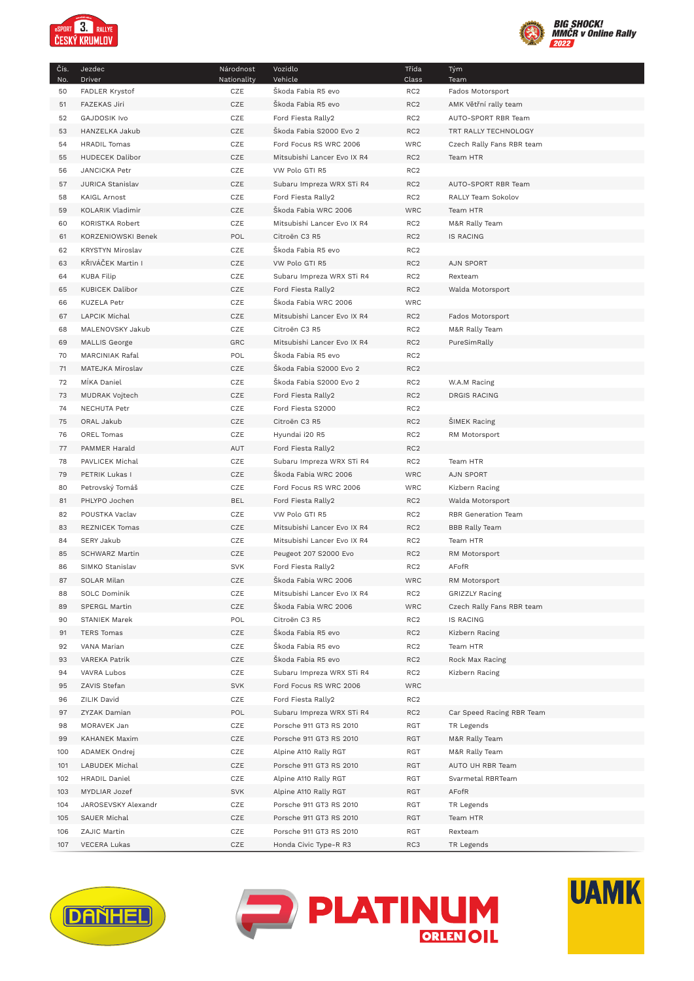

I



| Čís.<br>No. | Jezdec<br>Driver        | Národnost<br>Nationality | Vozidlo<br>Vehicle          | Třída<br>Class  | Tým<br>Team               |
|-------------|-------------------------|--------------------------|-----------------------------|-----------------|---------------------------|
| 50          | FADLER Krystof          | CZE                      | Škoda Fabia R5 evo          | RC <sub>2</sub> | Fados Motorsport          |
| 51          | <b>FAZEKAS Jiri</b>     | CZE                      | Škoda Fabia R5 evo          | RC <sub>2</sub> | AMK Větřní rally team     |
| 52          | <b>GAJDOSIK Ivo</b>     | CZE                      | Ford Fiesta Rally2          | RC <sub>2</sub> | AUTO-SPORT RBR Team       |
| 53          | HANZELKA Jakub          | CZE                      | Škoda Fabia S2000 Evo 2     | RC <sub>2</sub> | TRT RALLY TECHNOLOGY      |
| 54          | <b>HRADIL Tomas</b>     | CZE                      | Ford Focus RS WRC 2006      | <b>WRC</b>      | Czech Rally Fans RBR team |
| 55          | HUDECEK Dalibor         | CZE                      | Mitsubishi Lancer Evo IX R4 | RC <sub>2</sub> | Team HTR                  |
| 56          | JANCICKA Petr           | CZE                      | VW Polo GTI R5              | RC <sub>2</sub> |                           |
| 57          | JURICA Stanislav        | CZE                      | Subaru Impreza WRX STi R4   | RC <sub>2</sub> | AUTO-SPORT RBR Team       |
| 58          | <b>KAIGL Arnost</b>     | CZE                      | Ford Fiesta Rally2          | RC <sub>2</sub> | RALLY Team Sokolov        |
| 59          | KOLARIK Vladimir        | CZE                      | Škoda Fabia WRC 2006        | WRC             | Team HTR                  |
| 60          | KORISTKA Robert         | CZE                      | Mitsubishi Lancer Evo IX R4 | RC <sub>2</sub> | M&R Rally Team            |
| 61          | KORZENIOWSKI Benek      | POL                      | Citroën C3 R5               | RC <sub>2</sub> | <b>IS RACING</b>          |
| 62          | <b>KRYSTYN Miroslav</b> | CZE                      | Škoda Fabia R5 evo          | RC <sub>2</sub> |                           |
| 63          | KŘIVÁČEK Martin I       | CZE                      | VW Polo GTI R5              | RC <sub>2</sub> | <b>AJN SPORT</b>          |
| 64          | <b>KUBA Filip</b>       | CZE                      | Subaru Impreza WRX STi R4   | RC <sub>2</sub> | Rexteam                   |
| 65          | <b>KUBICEK Dalibor</b>  | CZE                      | Ford Fiesta Rally2          | RC <sub>2</sub> | Walda Motorsport          |
| 66          | <b>KUZELA Petr</b>      | CZE                      | Škoda Fabia WRC 2006        | WRC             |                           |
| 67          | <b>LAPCIK Michal</b>    | CZE                      | Mitsubishi Lancer Evo IX R4 | RC <sub>2</sub> | Fados Motorsport          |
| 68          | MALENOVSKY Jakub        | CZE                      | Citroën C3 R5               | RC <sub>2</sub> | M&R Rally Team            |
| 69          | <b>MALLIS George</b>    | GRC                      | Mitsubishi Lancer Evo IX R4 | RC <sub>2</sub> | PureSimRally              |
| 70          | MARCINIAK Rafal         | POL                      | Škoda Fabia R5 evo          | RC <sub>2</sub> |                           |
| 71          | MATEJKA Miroslav        | CZE                      | Škoda Fabia S2000 Evo 2     | RC <sub>2</sub> |                           |
| 72          | MİKA Daniel             | CZE                      | Škoda Fabia S2000 Evo 2     | RC <sub>2</sub> | W.A.M Racing              |
| 73          | MUDRAK Vojtech          | CZE                      | Ford Fiesta Rally2          | RC <sub>2</sub> | <b>DRGIS RACING</b>       |
| 74          | <b>NECHUTA Petr</b>     | CZE                      | Ford Fiesta S2000           | RC <sub>2</sub> |                           |
| 75          | ORAL Jakub              | CZE                      | Citroën C3 R5               | RC <sub>2</sub> | <b>SIMEK Racing</b>       |
| 76          | OREL Tomas              | CZE                      | Hyundai i20 R5              | RC <sub>2</sub> | RM Motorsport             |
| 77          | PAMMER Harald           | AUT                      | Ford Fiesta Rally2          | RC <sub>2</sub> |                           |
| 78          | PAVLICEK Michal         | CZE                      | Subaru Impreza WRX STi R4   | RC <sub>2</sub> | Team HTR                  |
| 79          | PETRIK Lukas I          | CZE                      | Škoda Fabia WRC 2006        | <b>WRC</b>      | <b>AJN SPORT</b>          |
| 80          | Petrovský Tomáš         | CZE                      | Ford Focus RS WRC 2006      | <b>WRC</b>      | Kizbern Racing            |
| 81          | PHLYPO Jochen           | <b>BEL</b>               | Ford Fiesta Rally2          | RC <sub>2</sub> | Walda Motorsport          |
| 82          | POUSTKA Vaclav          | CZE                      | VW Polo GTI R5              | RC <sub>2</sub> | RBR Generation Team       |
| 83          | <b>REZNICEK Tomas</b>   | CZE                      | Mitsubishi Lancer Evo IX R4 | RC <sub>2</sub> | <b>BBB Rally Team</b>     |
| 84          | <b>SERY Jakub</b>       | CZE                      | Mitsubishi Lancer Evo IX R4 | RC <sub>2</sub> | Team HTR                  |
| 85          | <b>SCHWARZ Martin</b>   | CZE                      | Peugeot 207 S2000 Evo       | RC <sub>2</sub> | RM Motorsport             |
| 86          | SIMKO Stanislav         | <b>SVK</b>               | Ford Fiesta Rally2          | RC <sub>2</sub> | AFofR                     |
| 87          | SOLAR Milan             | CZE                      | Škoda Fabia WRC 2006        | <b>WRC</b>      | RM Motorsport             |
| 88          | SOLC Dominik            | CZE                      | Mitsubishi Lancer Evo IX R4 | RC <sub>2</sub> | <b>GRIZZLY Racing</b>     |
| 89          | <b>SPERGL Martin</b>    | CZE                      | Škoda Fabia WRC 2006        | WRC             | Czech Rally Fans RBR team |
| 90          | STANIEK Marek           | POL                      | Citroën C3 R5               | RC <sub>2</sub> | <b>IS RACING</b>          |
| 91          | TERS Tomas              | CZE                      | Škoda Fabia R5 evo          | RC <sub>2</sub> | Kizbern Racing            |
| 92          | VANA Marian             | CZE                      | Škoda Fabia R5 evo          | RC <sub>2</sub> | Team HTR                  |
| 93          | <b>VAREKA Patrik</b>    | CZE                      | Škoda Fabia R5 evo          | RC <sub>2</sub> | Rock Max Racing           |
| 94          | VAVRA Lubos             | CZE                      | Subaru Impreza WRX STi R4   | RC <sub>2</sub> | Kizbern Racing            |
| 95          | ZAVIS Stefan            | <b>SVK</b>               | Ford Focus RS WRC 2006      | WRC             |                           |
| 96          | ZILIK David             | CZE                      | Ford Fiesta Rally2          | RC <sub>2</sub> |                           |
| 97          | ZYZAK Damian            | POL                      | Subaru Impreza WRX STi R4   | RC <sub>2</sub> | Car Speed Racing RBR Team |
| 98          | MORAVEK Jan             | CZE                      | Porsche 911 GT3 RS 2010     | RGT             | TR Legends                |
| 99          | KAHANEK Maxim           | CZE                      | Porsche 911 GT3 RS 2010     | RGT             | M&R Rally Team            |
| 100         | ADAMEK Ondrej           | CZE                      | Alpine A110 Rally RGT       | RGT             | M&R Rally Team            |
| 101         | LABUDEK Michal          | CZE                      | Porsche 911 GT3 RS 2010     | RGT             | AUTO UH RBR Team          |
| 102         | HRADIL Daniel           | CZE                      | Alpine A110 Rally RGT       | RGT             | Svarmetal RBRTeam         |
| 103         | MYDLIAR Jozef           | <b>SVK</b>               | Alpine A110 Rally RGT       | RGT             | AFofR                     |
| 104         | JAROSEVSKY Alexandr     | CZE                      | Porsche 911 GT3 RS 2010     | RGT             | TR Legends                |
| 105         | SAUER Michal            | CZE                      | Porsche 911 GT3 RS 2010     | RGT             | Team HTR                  |
| 106         | ZAJIC Martin            | CZE                      | Porsche 911 GT3 RS 2010     | RGT             | Rexteam                   |
| 107         | VECERA Lukas            | CZE                      | Honda Civic Type-R R3       | RC3             | TR Legends                |